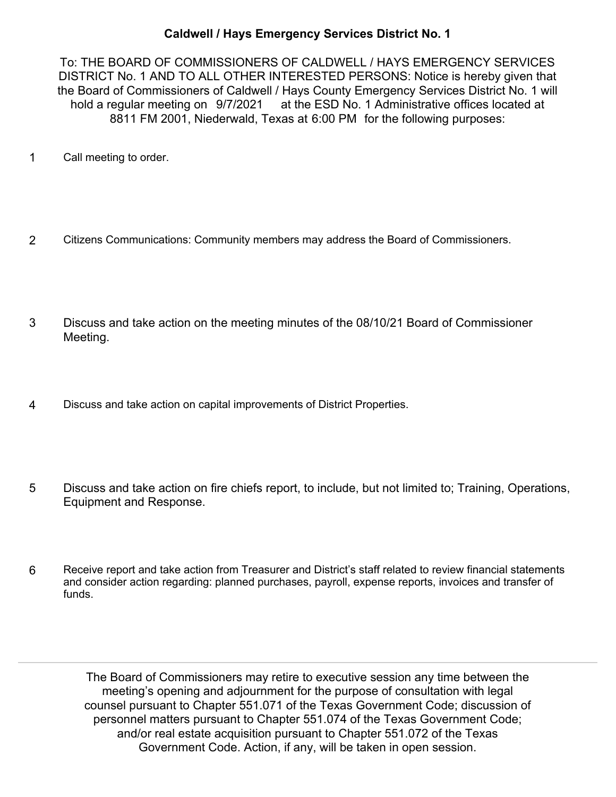## **Caldwell / Hays Emergency Services District No. 1**

To: THE BOARD OF COMMISSIONERS OF CALDWELL / HAYS EMERGENCY SERVICES DISTRICT No. 1 AND TO ALL OTHER INTERESTED PERSONS: Notice is hereby given that the Board of Commissioners of Caldwell / Hays County Emergency Services District No. 1 will hold a regular meeting on 9/7/2021 at the ESD No. 1 Administrative offices located at 8811 FM 2001, Niederwald, Texas at 6:00 PM for the following purposes:

- 1 Call meeting to order.
- 2 Citizens Communications: Community members may address the Board of Commissioners.
- Discuss and take action on the meeting minutes of the 08/10/21 Board of Commissioner Meeting. 3
- 4 Discuss and take action on capital improvements of District Properties.
- Discuss and take action on fire chiefs report, to include, but not limited to; Training, Operations, Equipment and Response. 5
- Receive report and take action from Treasurer and District's staff related to review financial statements and consider action regarding: planned purchases, payroll, expense reports, invoices and transfer of funds. 6

The Board of Commissioners may retire to executive session any time between the meeting's opening and adjournment for the purpose of consultation with legal counsel pursuant to Chapter 551.071 of the Texas Government Code; discussion of personnel matters pursuant to Chapter 551.074 of the Texas Government Code; and/or real estate acquisition pursuant to Chapter 551.072 of the Texas Government Code. Action, if any, will be taken in open session.